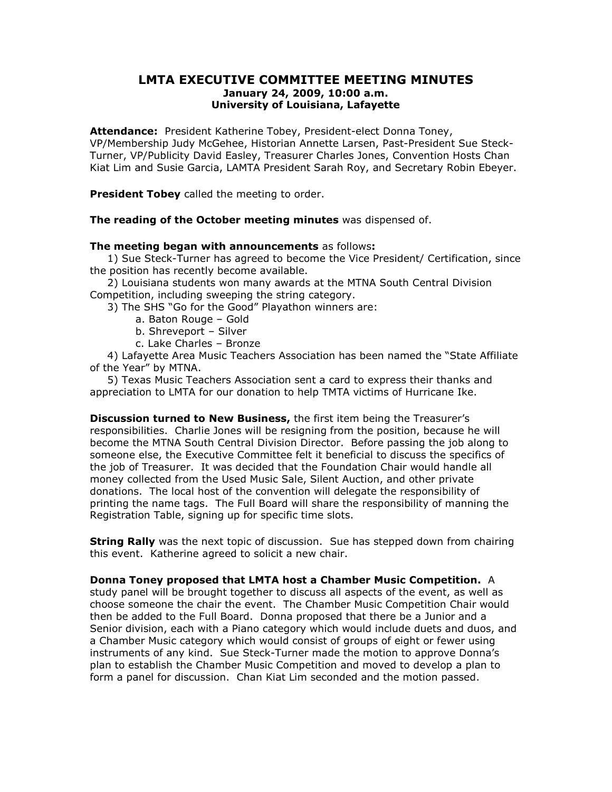## LMTA EXECUTIVE COMMITTEE MEETING MINUTES January 24, 2009, 10:00 a.m. University of Louisiana, Lafayette

Attendance: President Katherine Tobey, President-elect Donna Toney, VP/Membership Judy McGehee, Historian Annette Larsen, Past-President Sue Steck-Turner, VP/Publicity David Easley, Treasurer Charles Jones, Convention Hosts Chan Kiat Lim and Susie Garcia, LAMTA President Sarah Roy, and Secretary Robin Ebeyer.

**President Tobey** called the meeting to order.

## The reading of the October meeting minutes was dispensed of.

## The meeting began with announcements as follows:

 1) Sue Steck-Turner has agreed to become the Vice President/ Certification, since the position has recently become available.

 2) Louisiana students won many awards at the MTNA South Central Division Competition, including sweeping the string category.

3) The SHS "Go for the Good" Playathon winners are:

- a. Baton Rouge Gold
- b. Shreveport Silver
- c. Lake Charles Bronze

 4) Lafayette Area Music Teachers Association has been named the "State Affiliate of the Year" by MTNA.

 5) Texas Music Teachers Association sent a card to express their thanks and appreciation to LMTA for our donation to help TMTA victims of Hurricane Ike.

Discussion turned to New Business, the first item being the Treasurer's responsibilities. Charlie Jones will be resigning from the position, because he will become the MTNA South Central Division Director. Before passing the job along to someone else, the Executive Committee felt it beneficial to discuss the specifics of the job of Treasurer. It was decided that the Foundation Chair would handle all money collected from the Used Music Sale, Silent Auction, and other private donations. The local host of the convention will delegate the responsibility of printing the name tags. The Full Board will share the responsibility of manning the Registration Table, signing up for specific time slots.

**String Rally** was the next topic of discussion. Sue has stepped down from chairing this event. Katherine agreed to solicit a new chair.

Donna Toney proposed that LMTA host a Chamber Music Competition. A study panel will be brought together to discuss all aspects of the event, as well as choose someone the chair the event. The Chamber Music Competition Chair would then be added to the Full Board. Donna proposed that there be a Junior and a Senior division, each with a Piano category which would include duets and duos, and a Chamber Music category which would consist of groups of eight or fewer using instruments of any kind. Sue Steck-Turner made the motion to approve Donna's plan to establish the Chamber Music Competition and moved to develop a plan to form a panel for discussion. Chan Kiat Lim seconded and the motion passed.